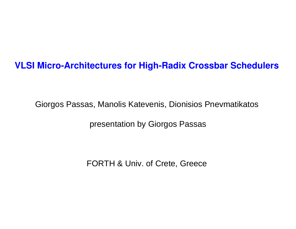#### **VLSI Micro-Architectures for High-Radix Crossbar Schedulers**

Giorgos Passas, Manolis Katevenis, Dionisios Pnevmatikatos

presentation by Giorgos Passas

FORTH & Univ. of Crete, Greece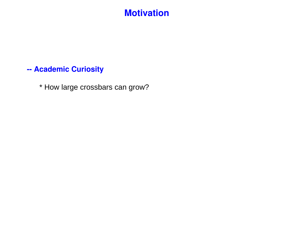#### **Motivation**

#### **-- Academic Curiosity**

\* How large crossbars can grow?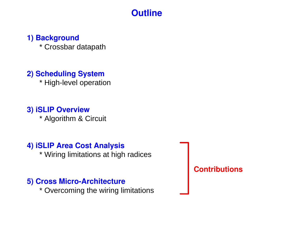#### **Outline**

#### **1) Background**

\* Crossbar datapath

#### **2) Scheduling System**

\* High-level operation

#### **3) iSLIP Overview**

\* Algorithm & Circuit

#### **4) iSLIP Area Cost Analysis**

\* Wiring limitations at high radices

#### **5) Cross Micro-Architecture**

\* Overcoming the wiring limitations

**Contributions**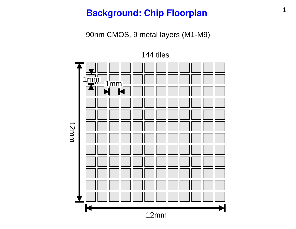#### **Background: Chip Floorplan** 1

90nm CMOS, 9 metal layers (M1-M9)

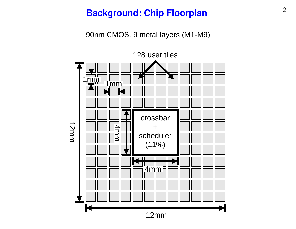## <sup>2</sup> **Background: Chip Floorplan**

90nm CMOS, 9 metal layers (M1-M9)

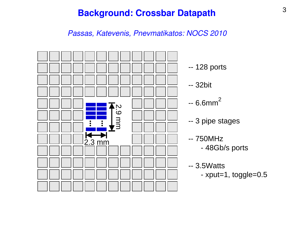#### <sup>3</sup> **Background: Crossbar Datapath**

*Passas, Katevenis, Pnevmatikatos: NOCS 2010* 

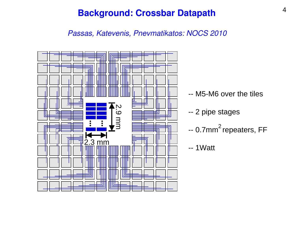#### <sup>4</sup> **Background: Crossbar Datapath**

*Passas, Katevenis, Pnevmatikatos: NOCS 2010* 

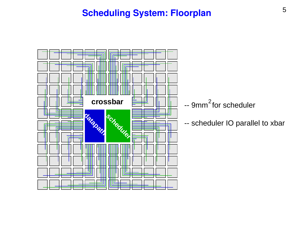### <sup>5</sup> **Scheduling System: Floorplan**

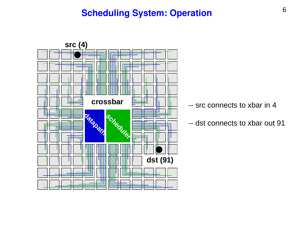

- -- src connects to xbar in 4
- -- dst connects to xbar out 91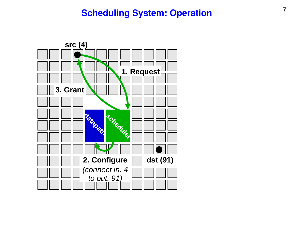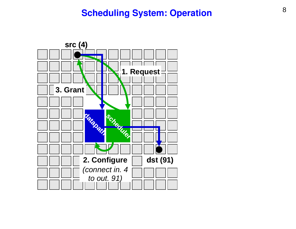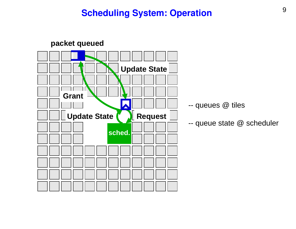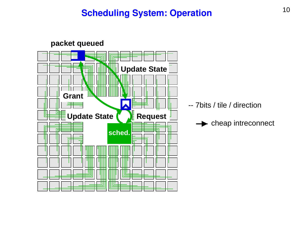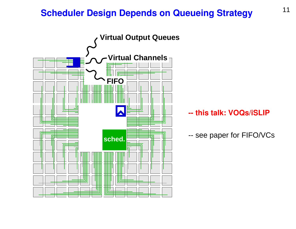## **Scheduler Design Depends on Queueing Strategy** 11

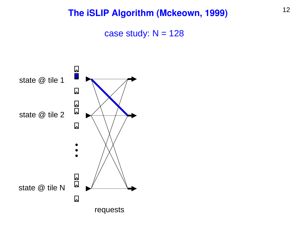case study:  $N = 128$ 

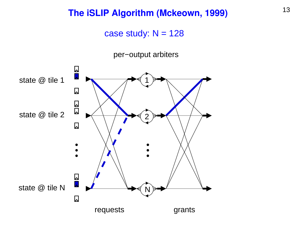case study:  $N = 128$ 

per−output arbiters

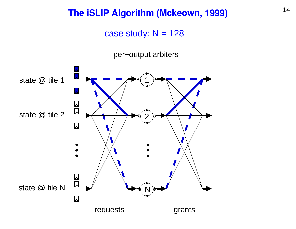case study:  $N = 128$ 

per−output arbiters

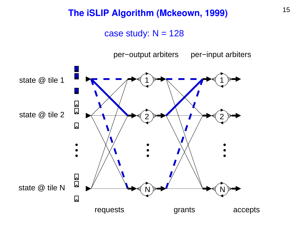case study:  $N = 128$ 

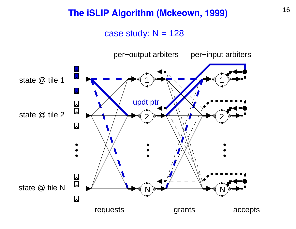#### case study:  $N = 128$

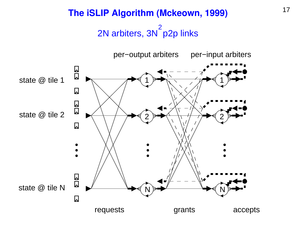#### <sup>17</sup> **The iSLIP Algorithm (Mckeown, 1999)** 2N arbiters, 3N p2p links 2

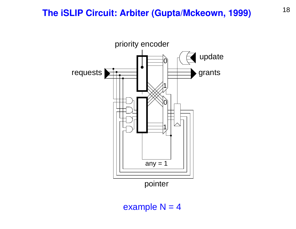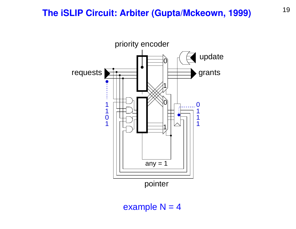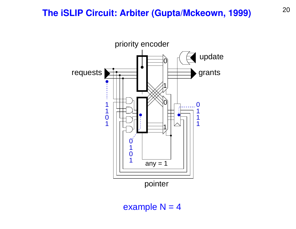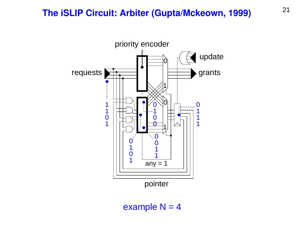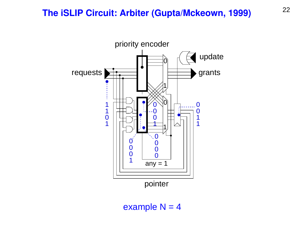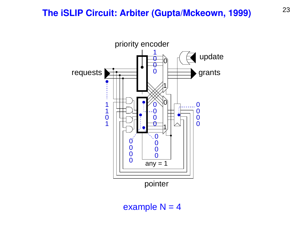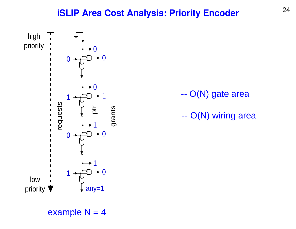#### <sup>24</sup> **iSLIP Area Cost Analysis: Priority Encoder**



-- O(N) gate area

-- O(N) wiring area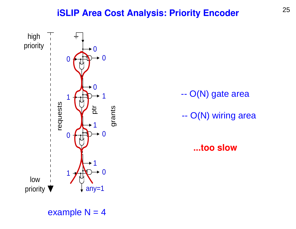#### <sup>25</sup> **iSLIP Area Cost Analysis: Priority Encoder**



-- O(N) gate area

-- O(N) wiring area

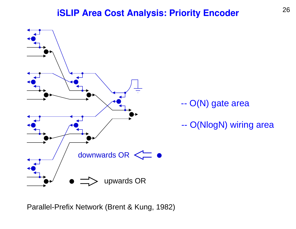#### <sup>26</sup> **iSLIP Area Cost Analysis: Priority Encoder**



Parallel-Prefix Network (Brent & Kung, 1982)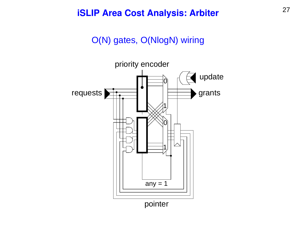#### <sup>27</sup> **iSLIP Area Cost Analysis: Arbiter**

#### O(N) gates, O(NlogN) wiring

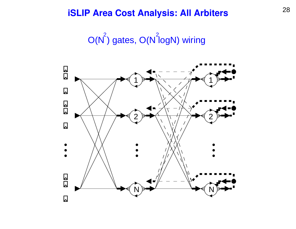## <sup>28</sup> **iSLIP Area Cost Analysis: All Arbiters**

 $O(N^2)$  gates,  $O(N^2$ logN) wiring

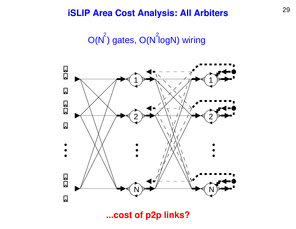## <sup>29</sup> **iSLIP Area Cost Analysis: All Arbiters**

 $O(N^2)$  gates,  $O(N^2$ logN) wiring



**...cost of p2p links?**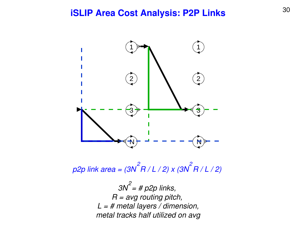#### <sup>30</sup> **iSLIP Area Cost Analysis: P2P Links**



*p2p link area = (3N R / L / 2) x (3N R / L / 2) 2 2*

> *3N = # p2p links, R = avg routing pitch, L = # metal layers / dimension, metal tracks half utilized on avg 2*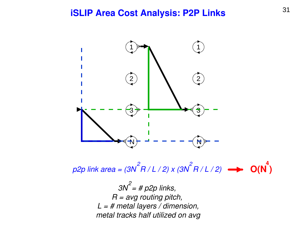#### <sup>31</sup> **iSLIP Area Cost Analysis: P2P Links**



*p2p link area = (3N R / L / 2) x (3N R / L / 2) 2 2* **O(N ) 4**

> *3N = # p2p links, R = avg routing pitch, L = # metal layers / dimension, metal tracks half utilized on avg 2*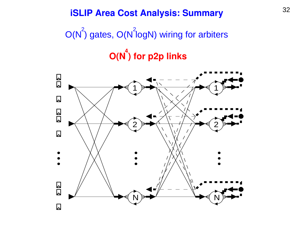## <sup>32</sup> **iSLIP Area Cost Analysis: Summary**

# $O(N^2)$  gates,  $O(N^2$ logN) wiring for arbiters  $O(N^4)$  for p2p links

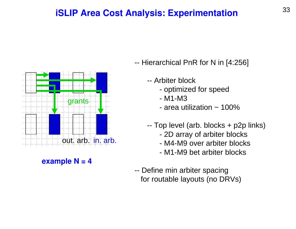#### <sup>33</sup> **iSLIP Area Cost Analysis: Experimentation**



 $\frac{1}{\sqrt{2}}$  $\alpha$  avample  $N - A$ **example N = 4** 

- -- Hierarchical PnR for N in [4:256]
	- -- Arbiter block
		- optimized for speed
		- M1-M3
		- area utilization  $\sim$  100%
	- -- Top level (arb. blocks + p2p links)
		- 2D array of arbiter blocks
		- M4-M9 over arbiter blocks
		- M1-M9 bet arbiter blocks
- -- Define min arbiter spacing for routable layouts (no DRVs)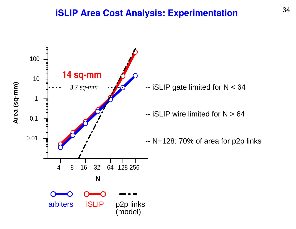#### <sup>34</sup> **iSLIP Area Cost Analysis: Experimentation**

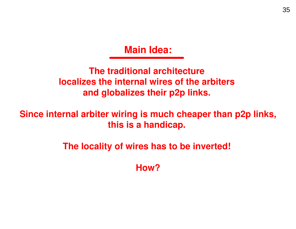**Main Idea:**

**The traditional architecture localizes the internal wires of the arbiters and globalizes their p2p links.** 

**Since internal arbiter wiring is much cheaper than p2p links, this is a handicap.** 

**The locality of wires has to be inverted!** 

**How?**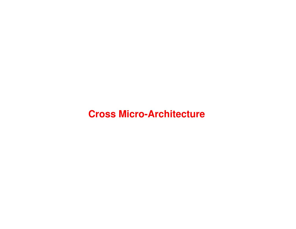#### **Cross Micro-Architecture**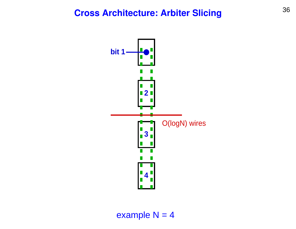#### <sup>36</sup> **Cross Architecture: Arbiter Slicing**

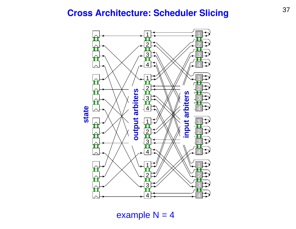#### <sup>37</sup> **Cross Architecture: Scheduler Slicing**

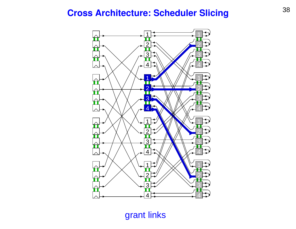## <sup>38</sup> **Cross Architecture: Scheduler Slicing**



grant links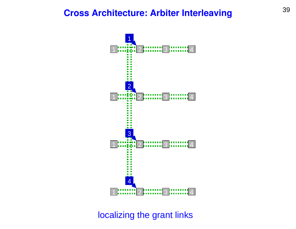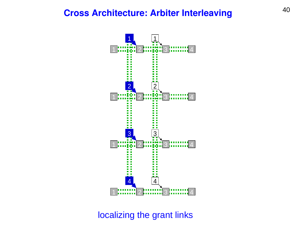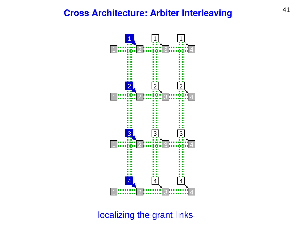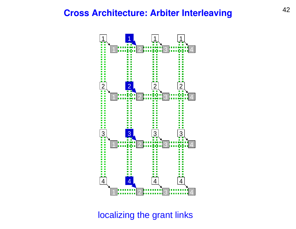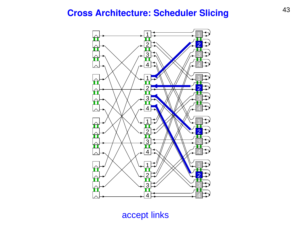#### <sup>43</sup> **Cross Architecture: Scheduler Slicing**



accept links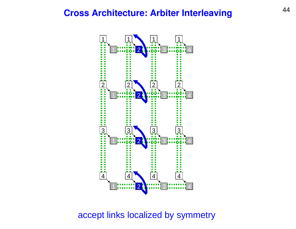

accept links localized by symmetry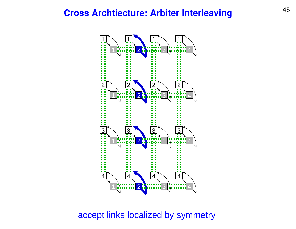

#### accept links localized by symmetry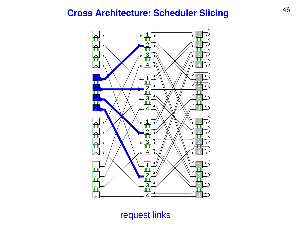### <sup>46</sup> **Cross Architecture: Scheduler Slicing**



request links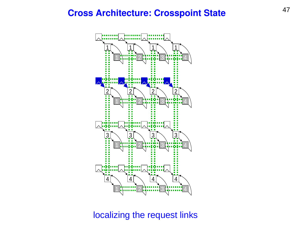#### <sup>47</sup> **Cross Architecture: Crosspoint State**



localizing the request links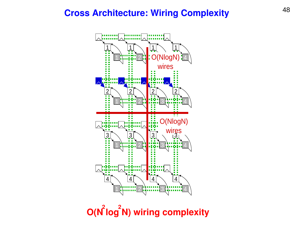#### <sup>48</sup> **Cross Architecture: Wiring Complexity**



**O(N log N) wiring complexity**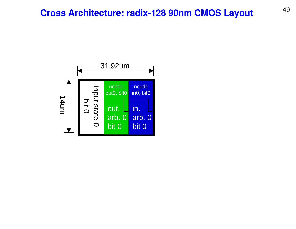#### <sup>49</sup> **Cross Architecture: radix-128 90nm CMOS Layout**

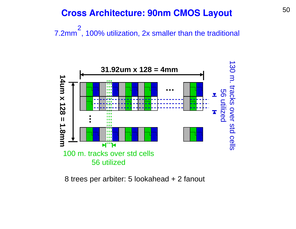#### <sup>50</sup> **Cross Architecture: 90nm CMOS Layout**

7.2mm<sup>-</sup>, 100% utilization, 2x smaller than the traditional 2



8 trees per arbiter: 5 lookahead + 2 fanout